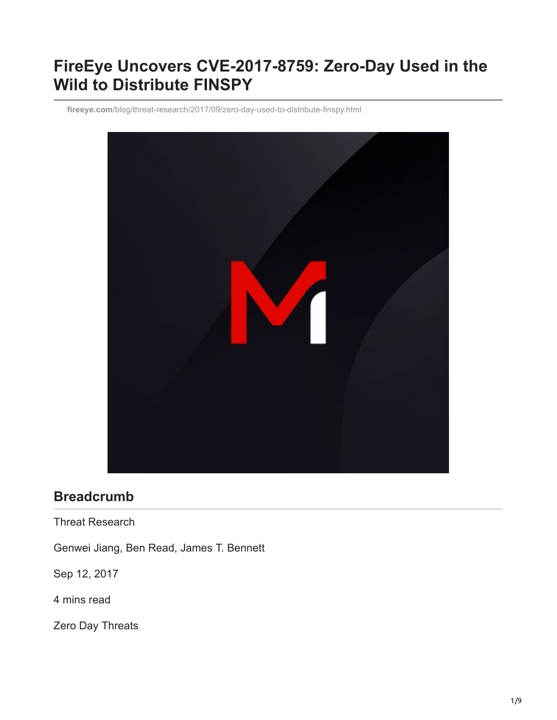# **FireEye Uncovers CVE-2017-8759: Zero-Day Used in the Wild to Distribute FINSPY**

**fireeye.com**[/blog/threat-research/2017/09/zero-day-used-to-distribute-finspy.html](https://www.fireeye.com/blog/threat-research/2017/09/zero-day-used-to-distribute-finspy.html)



# **Breadcrumb**

Threat Research

Genwei Jiang, Ben Read, James T. Bennett

Sep 12, 2017

4 mins read

Zero Day Threats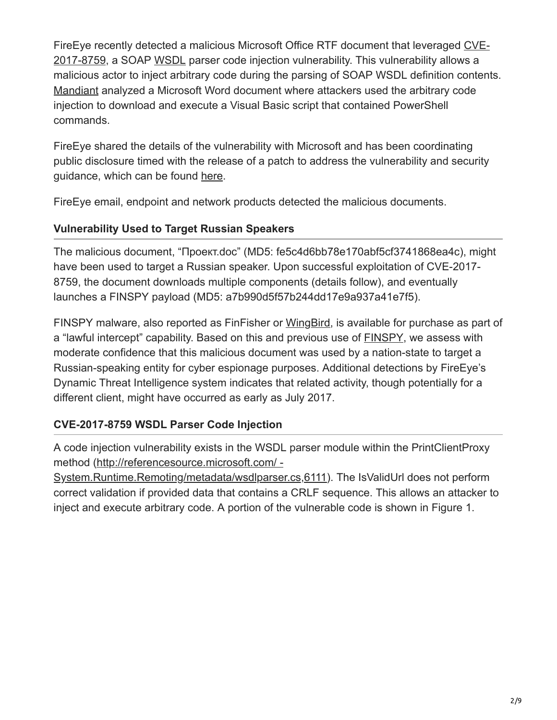[FireEye recently detected a malicious Microsoft Office RTF document that leveraged CVE-](https://msrc.microsoft.com/update-guide/en-us/vulnerability/CVE-2017-8759)2017-8759, a SOAP [WSDL](https://docs.microsoft.com/en-us/previous-versions/dotnet/articles/ms996486(v=msdn.10)?redirectedfrom=MSDN) parser code injection vulnerability. This vulnerability allows a malicious actor to inject arbitrary code during the parsing of SOAP WSDL definition contents. [Mandiant](https://www.fireeye.com/advantage) analyzed a Microsoft Word document where attackers used the arbitrary code injection to download and execute a Visual Basic script that contained PowerShell commands.

FireEye shared the details of the vulnerability with Microsoft and has been coordinating public disclosure timed with the release of a patch to address the vulnerability and security guidance, which can be found [here](https://msrc.microsoft.com/update-guide/en-us/vulnerability/CVE-2017-8759).

FireEye email, endpoint and network products detected the malicious documents.

## **Vulnerability Used to Target Russian Speakers**

The malicious document, "Проект.doc" (MD5: fe5c4d6bb78e170abf5cf3741868ea4c), might have been used to target a Russian speaker. Upon successful exploitation of CVE-2017- 8759, the document downloads multiple components (details follow), and eventually launches a FINSPY payload (MD5: a7b990d5f57b244dd17e9a937a41e7f5).

FINSPY malware, also reported as FinFisher or [WingBird](http://download.microsoft.com/download/E/B/0/EB0F50CC-989C-4B66-B7F6-68CD3DC90DE3/Microsoft_Security_Intelligence_Report_Volume_21_English.pdf), is available for purchase as part of a "lawful intercept" capability. Based on this and previous use of [FINSPY,](https://www.fireeye.com/blog/threat-research/2017/04/cve-2017-0199_useda.html) we assess with moderate confidence that this malicious document was used by a nation-state to target a Russian-speaking entity for cyber espionage purposes. Additional detections by FireEye's Dynamic Threat Intelligence system indicates that related activity, though potentially for a different client, might have occurred as early as July 2017.

## **CVE-2017-8759 WSDL Parser Code Injection**

A code injection vulnerability exists in the WSDL parser module within the PrintClientProxy method (http://referencesource.microsoft.com/ -

[System.Runtime.Remoting/metadata/wsdlparser.cs,6111](https://referencesource.microsoft.com/#System.Runtime.Remoting/metadata/wsdlparser.cs,6111)). The IsValidUrl does not perform correct validation if provided data that contains a CRLF sequence. This allows an attacker to inject and execute arbitrary code. A portion of the vulnerable code is shown in Figure 1.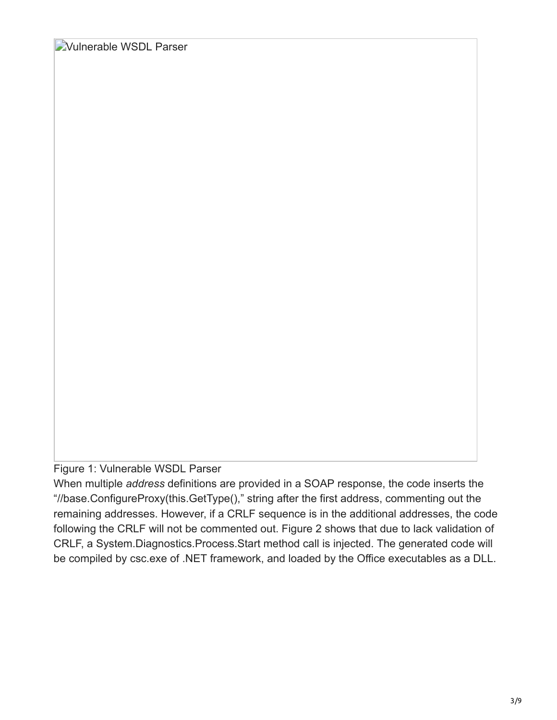Vulnerable WSDL Parser

Figure 1: Vulnerable WSDL Parser

When multiple *address* definitions are provided in a SOAP response, the code inserts the "//base.ConfigureProxy(this.GetType()," string after the first address, commenting out the remaining addresses. However, if a CRLF sequence is in the additional addresses, the code following the CRLF will not be commented out. Figure 2 shows that due to lack validation of CRLF, a System.Diagnostics.Process.Start method call is injected. The generated code will be compiled by csc.exe of .NET framework, and loaded by the Office executables as a DLL.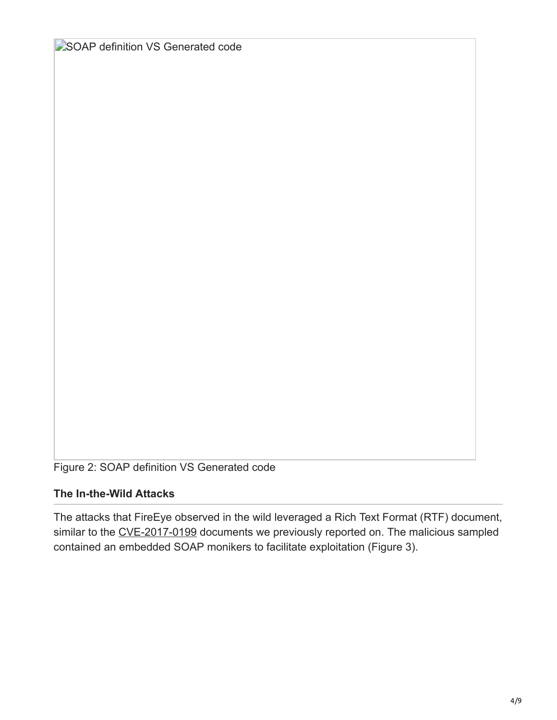SOAP definition VS Generated code

Figure 2: SOAP definition VS Generated code

# **The In-the-Wild Attacks**

The attacks that FireEye observed in the wild leveraged a Rich Text Format (RTF) document, similar to the [CVE-2017-0199](https://www.fireeye.com/resources/cve-2017-0199-wild-attacks-leveraging-hta-handler) documents we previously reported on. The malicious sampled contained an embedded SOAP monikers to facilitate exploitation (Figure 3).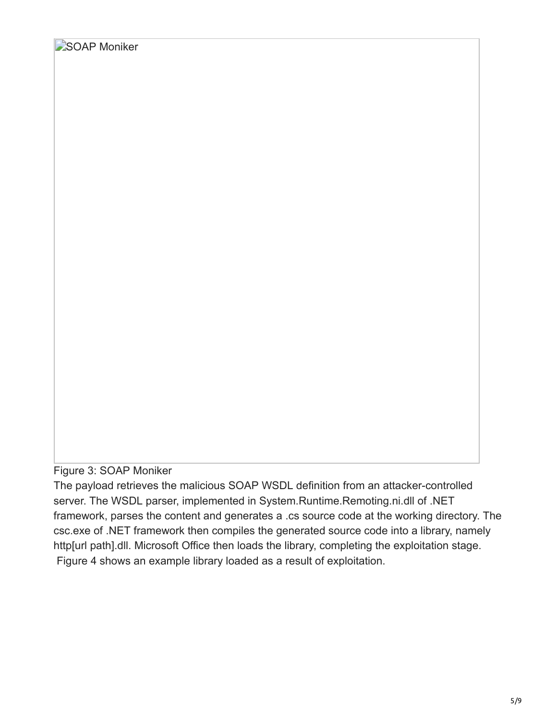Figure 3: SOAP Moniker

The payload retrieves the malicious SOAP WSDL definition from an attacker-controlled server. The WSDL parser, implemented in System.Runtime.Remoting.ni.dll of .NET framework, parses the content and generates a .cs source code at the working directory. The csc.exe of .NET framework then compiles the generated source code into a library, namely http[url path].dll. Microsoft Office then loads the library, completing the exploitation stage. Figure 4 shows an example library loaded as a result of exploitation.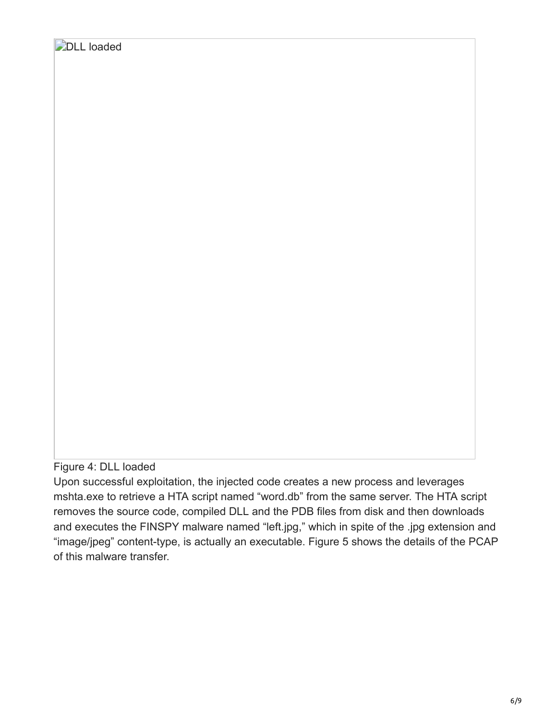## Figure 4: DLL loaded

Upon successful exploitation, the injected code creates a new process and leverages mshta.exe to retrieve a HTA script named "word.db" from the same server. The HTA script removes the source code, compiled DLL and the PDB files from disk and then downloads and executes the FINSPY malware named "left.jpg," which in spite of the .jpg extension and "image/jpeg" content-type, is actually an executable. Figure 5 shows the details of the PCAP of this malware transfer.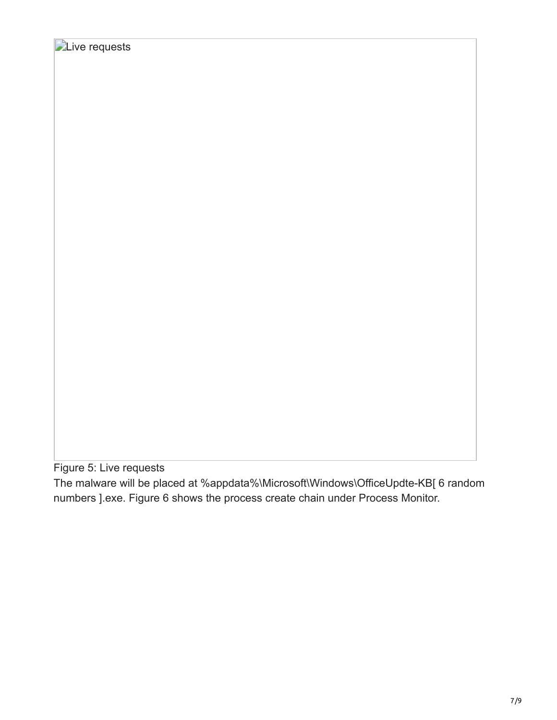Figure 5: Live requests

The malware will be placed at %appdata%\Microsoft\Windows\OfficeUpdte-KB[ 6 random numbers ].exe. Figure 6 shows the process create chain under Process Monitor.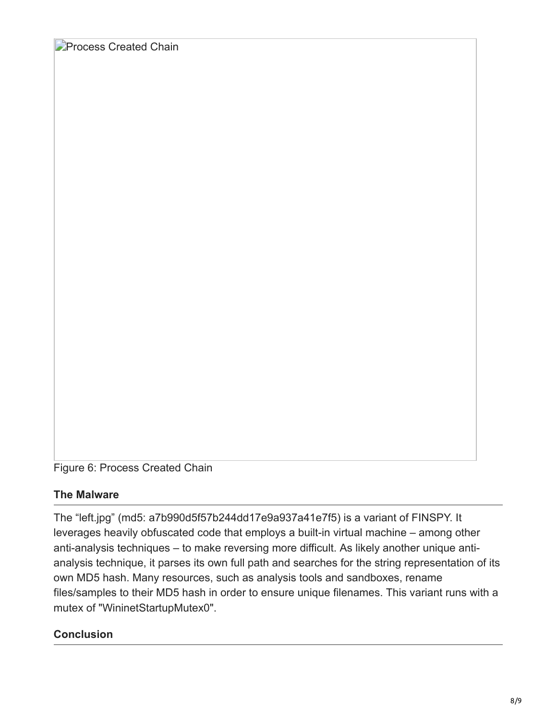**Process Created Chain** 

Figure 6: Process Created Chain

#### **The Malware**

The "left.jpg" (md5: a7b990d5f57b244dd17e9a937a41e7f5) is a variant of FINSPY. It leverages heavily obfuscated code that employs a built-in virtual machine – among other anti-analysis techniques – to make reversing more difficult. As likely another unique antianalysis technique, it parses its own full path and searches for the string representation of its own MD5 hash. Many resources, such as analysis tools and sandboxes, rename files/samples to their MD5 hash in order to ensure unique filenames. This variant runs with a mutex of "WininetStartupMutex0".

#### **Conclusion**